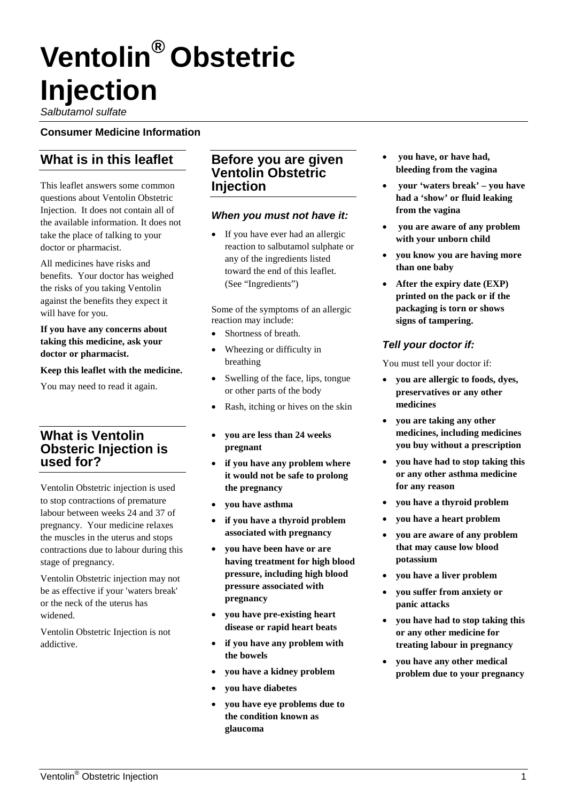# **Ventolin® Obstetric Injection**

*Salbutamol sulfate*

#### **Consumer Medicine Information**

# **What is in this leaflet**

This leaflet answers some common questions about Ventolin Obstetric Injection. It does not contain all of the available information. It does not take the place of talking to your doctor or pharmacist.

All medicines have risks and benefits. Your doctor has weighed the risks of you taking Ventolin against the benefits they expect it will have for you.

#### **If you have any concerns about taking this medicine, ask your doctor or pharmacist.**

**Keep this leaflet with the medicine.**

You may need to read it again.

## **What is Ventolin Obsteric Injection is used for?**

Ventolin Obstetric injection is used to stop contractions of premature labour between weeks 24 and 37 of pregnancy. Your medicine relaxes the muscles in the uterus and stops contractions due to labour during this stage of pregnancy.

Ventolin Obstetric injection may not be as effective if your 'waters break' or the neck of the uterus has widened.

Ventolin Obstetric Injection is not addictive.

### **Before you are given Ventolin Obstetric Injection**

#### *When you must not have it:*

If you have ever had an allergic reaction to salbutamol sulphate or any of the ingredients listed toward the end of this leaflet. (See "Ingredients")

Some of the symptoms of an allergic reaction may include:

- Shortness of breath.
- Wheezing or difficulty in breathing
- Swelling of the face, lips, tongue or other parts of the body
- Rash, itching or hives on the skin
- **you are less than 24 weeks pregnant**
- **if you have any problem where it would not be safe to prolong the pregnancy**
- **you have asthma**
- **if you have a thyroid problem associated with pregnancy**
- **you have been have or are having treatment for high blood pressure, including high blood pressure associated with pregnancy**
- **you have pre-existing heart disease or rapid heart beats**
- **if you have any problem with the bowels**
- **you have a kidney problem**
- **you have diabetes**
- **you have eye problems due to the condition known as glaucoma**
- **you have, or have had, bleeding from the vagina**
- **your 'waters break' – you have had a 'show' or fluid leaking from the vagina**
- **you are aware of any problem with your unborn child**
- **you know you are having more than one baby**
- **After the expiry date (EXP) printed on the pack or if the packaging is torn or shows signs of tampering.**

## *Tell your doctor if:*

You must tell your doctor if:

- **you are allergic to foods, dyes, preservatives or any other medicines**
- **you are taking any other medicines, including medicines you buy without a prescription**
- **you have had to stop taking this or any other asthma medicine for any reason**
- **you have a thyroid problem**
- **you have a heart problem**
- **you are aware of any problem that may cause low blood potassium**
- **you have a liver problem**
- **you suffer from anxiety or panic attacks**
- **you have had to stop taking this or any other medicine for treating labour in pregnancy**
- **you have any other medical problem due to your pregnancy**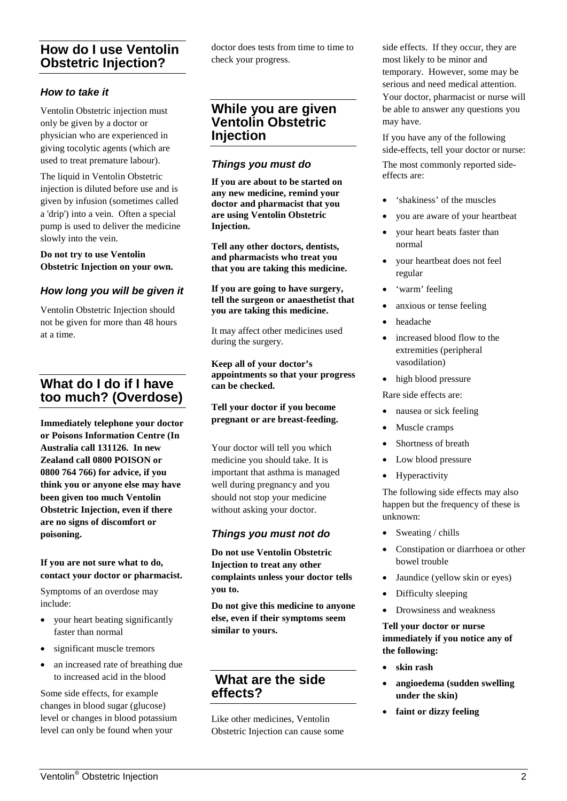## **How do I use Ventolin Obstetric Injection?**

#### *How to take it*

Ventolin Obstetric injection must only be given by a doctor or physician who are experienced in giving tocolytic agents (which are used to treat premature labour).

The liquid in Ventolin Obstetric injection is diluted before use and is given by infusion (sometimes called a 'drip') into a vein. Often a special pump is used to deliver the medicine slowly into the vein.

**Do not try to use Ventolin Obstetric Injection on your own.**

#### *How long you will be given it*

Ventolin Obstetric Injection should not be given for more than 48 hours at a time.

## **What do I do if I have too much? (Overdose)**

**Immediately telephone your doctor or Poisons Information Centre (In Australia call 131126. In new Zealand call 0800 POISON or 0800 764 766) for advice, if you think you or anyone else may have been given too much Ventolin Obstetric Injection, even if there are no signs of discomfort or poisoning.** 

#### **If you are not sure what to do, contact your doctor or pharmacist.**

Symptoms of an overdose may include:

- your heart beating significantly faster than normal
- significant muscle tremors
- an increased rate of breathing due to increased acid in the blood

Some side effects, for example changes in blood sugar (glucose) level or changes in blood potassium level can only be found when your

doctor does tests from time to time to check your progress.

## **While you are given Ventolin Obstetric Injection**

#### *Things you must do*

**If you are about to be started on any new medicine, remind your doctor and pharmacist that you are using Ventolin Obstetric Injection.** 

**Tell any other doctors, dentists, and pharmacists who treat you that you are taking this medicine.**

**If you are going to have surgery, tell the surgeon or anaesthetist that you are taking this medicine.**

It may affect other medicines used during the surgery.

**Keep all of your doctor's appointments so that your progress can be checked.**

**Tell your doctor if you become pregnant or are breast-feeding.** 

Your doctor will tell you which medicine you should take. It is important that asthma is managed well during pregnancy and you should not stop your medicine without asking your doctor.

#### *Things you must not do*

**Do not use Ventolin Obstetric Injection to treat any other complaints unless your doctor tells you to.**

**Do not give this medicine to anyone else, even if their symptoms seem similar to yours.**

## **What are the side effects?**

Like other medicines, Ventolin Obstetric Injection can cause some side effects. If they occur, they are most likely to be minor and temporary. However, some may be serious and need medical attention. Your doctor, pharmacist or nurse will be able to answer any questions you may have.

If you have any of the following side-effects, tell your doctor or nurse: The most commonly reported sideeffects are:

- 'shakiness' of the muscles
- you are aware of your heartbeat
- your heart beats faster than normal
- your heartbeat does not feel regular
- 'warm' feeling
- anxious or tense feeling
- headache
- increased blood flow to the extremities (peripheral vasodilation)
- high blood pressure

Rare side effects are:

- nausea or sick feeling
- Muscle cramps
- Shortness of breath
- Low blood pressure
- Hyperactivity

The following side effects may also happen but the frequency of these is unknown:

- Sweating / chills
- Constipation or diarrhoea or other bowel trouble
- Jaundice (yellow skin or eyes)
- Difficulty sleeping
- Drowsiness and weakness

#### **Tell your doctor or nurse immediately if you notice any of the following:**

- **skin rash**
- **angioedema (sudden swelling under the skin)**
- **faint or dizzy feeling**